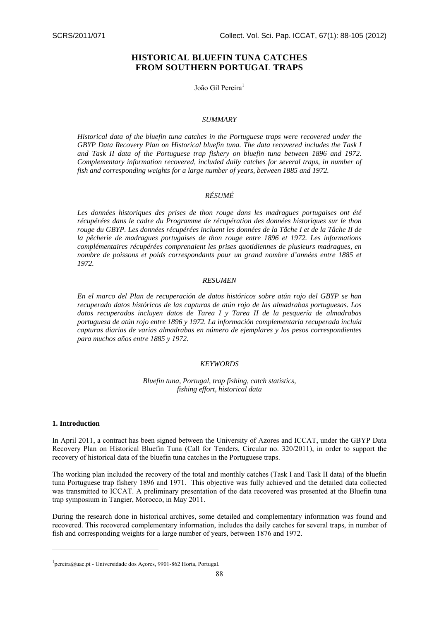# **HISTORICAL BLUEFIN TUNA CATCHES FROM SOUTHERN PORTUGAL TRAPS**

João Gil Pereira<sup>1</sup>

#### *SUMMARY*

*Historical data of the bluefin tuna catches in the Portuguese traps were recovered under the GBYP Data Recovery Plan on Historical bluefin tuna. The data recovered includes the Task I and Task II data of the Portuguese trap fishery on bluefin tuna between 1896 and 1972. Complementary information recovered, included daily catches for several traps, in number of fish and corresponding weights for a large number of years, between 1885 and 1972.* 

## *RÉSUMÉ*

*Les données historiques des prises de thon rouge dans les madragues portugaises ont été récupérées dans le cadre du Programme de récupération des données historiques sur le thon rouge du GBYP. Les données récupérées incluent les données de la Tâche I et de la Tâche II de la pêcherie de madragues portugaises de thon rouge entre 1896 et 1972. Les informations complémentaires récupérées comprenaient les prises quotidiennes de plusieurs madragues, en nombre de poissons et poids correspondants pour un grand nombre d'années entre 1885 et 1972.* 

### *RESUMEN*

*En el marco del Plan de recuperación de datos históricos sobre atún rojo del GBYP se han recuperado datos históricos de las capturas de atún rojo de las almadrabas portuguesas. Los datos recuperados incluyen datos de Tarea I y Tarea II de la pesquería de almadrabas portuguesa de atún rojo entre 1896 y 1972. La información complementaria recuperada incluía capturas diarias de varias almadrabas en número de ejemplares y los pesos correspondientes para muchos años entre 1885 y 1972.* 

#### *KEYWORDS*

*Bluefin tuna, Portugal, trap fishing, catch statistics, fishing effort, historical data* 

## **1. Introduction**

1

In April 2011, a contract has been signed between the University of Azores and ICCAT, under the GBYP Data Recovery Plan on Historical Bluefin Tuna (Call for Tenders, Circular no. 320/2011), in order to support the recovery of historical data of the bluefin tuna catches in the Portuguese traps.

The working plan included the recovery of the total and monthly catches (Task I and Task II data) of the bluefin tuna Portuguese trap fishery 1896 and 1971. This objective was fully achieved and the detailed data collected was transmitted to ICCAT. A preliminary presentation of the data recovered was presented at the Bluefin tuna trap symposium in Tangier, Morocco, in May 2011.

During the research done in historical archives, some detailed and complementary information was found and recovered. This recovered complementary information, includes the daily catches for several traps, in number of fish and corresponding weights for a large number of years, between 1876 and 1972.

<sup>1</sup> pereira@uac.pt - Universidade dos Açores, 9901-862 Horta, Portugal.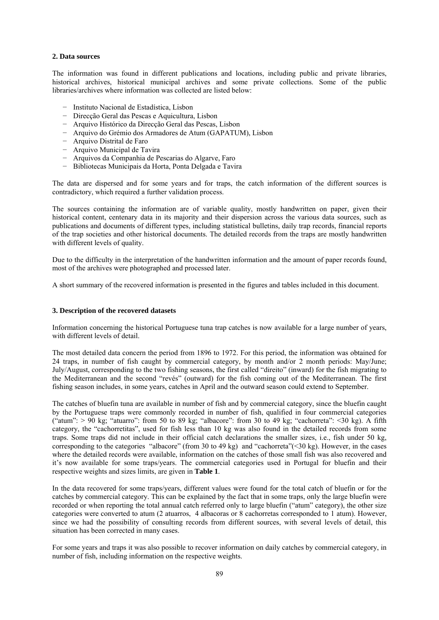#### **2. Data sources**

The information was found in different publications and locations, including public and private libraries, historical archives, historical municipal archives and some private collections. Some of the public libraries/archives where information was collected are listed below:

- − Instituto Nacional de Estadística, Lisbon
- − Direcção Geral das Pescas e Aquicultura, Lisbon
- − Arquivo Histórico da Direcção Geral das Pescas, Lisbon
- − Arquivo do Grémio dos Armadores de Atum (GAPATUM), Lisbon
- − Arquivo Distrital de Faro
- − Arquivo Municipal de Tavira
- − Arquivos da Companhia de Pescarias do Algarve, Faro
- − Bibliotecas Municipais da Horta, Ponta Delgada e Tavira

The data are dispersed and for some years and for traps, the catch information of the different sources is contradictory, which required a further validation process.

The sources containing the information are of variable quality, mostly handwritten on paper, given their historical content, centenary data in its majority and their dispersion across the various data sources, such as publications and documents of different types, including statistical bulletins, daily trap records, financial reports of the trap societies and other historical documents. The detailed records from the traps are mostly handwritten with different levels of quality.

Due to the difficulty in the interpretation of the handwritten information and the amount of paper records found, most of the archives were photographed and processed later.

A short summary of the recovered information is presented in the figures and tables included in this document.

## **3. Description of the recovered datasets**

Information concerning the historical Portuguese tuna trap catches is now available for a large number of years, with different levels of detail.

The most detailed data concern the period from 1896 to 1972. For this period, the information was obtained for 24 traps, in number of fish caught by commercial category, by month and/or 2 month periods: May/June; July/August, corresponding to the two fishing seasons, the first called "direito" (inward) for the fish migrating to the Mediterranean and the second "revés" (outward) for the fish coming out of the Mediterranean. The first fishing season includes, in some years, catches in April and the outward season could extend to September.

The catches of bluefin tuna are available in number of fish and by commercial category, since the bluefin caught by the Portuguese traps were commonly recorded in number of fish, qualified in four commercial categories ("atum":  $> 90$  kg; "atuarro": from 50 to 89 kg; "albacore": from 30 to 49 kg; "cachorreta": <30 kg). A fifth category, the "cachorretitas", used for fish less than 10 kg was also found in the detailed records from some traps. Some traps did not include in their official catch declarations the smaller sizes, i.e., fish under 50 kg, corresponding to the categories "albacore" (from 30 to 49 kg) and "cachorreta"(<30 kg). However, in the cases where the detailed records were available, information on the catches of those small fish was also recovered and it's now available for some traps/years. The commercial categories used in Portugal for bluefin and their respective weights and sizes limits, are given in **Table 1**.

In the data recovered for some traps/years, different values were found for the total catch of bluefin or for the catches by commercial category. This can be explained by the fact that in some traps, only the large bluefin were recorded or when reporting the total annual catch referred only to large bluefin ("atum" category), the other size categories were converted to atum (2 atuarros, 4 albacoras or 8 cachorretas corresponded to 1 atum). However, since we had the possibility of consulting records from different sources, with several levels of detail, this situation has been corrected in many cases.

For some years and traps it was also possible to recover information on daily catches by commercial category, in number of fish, including information on the respective weights.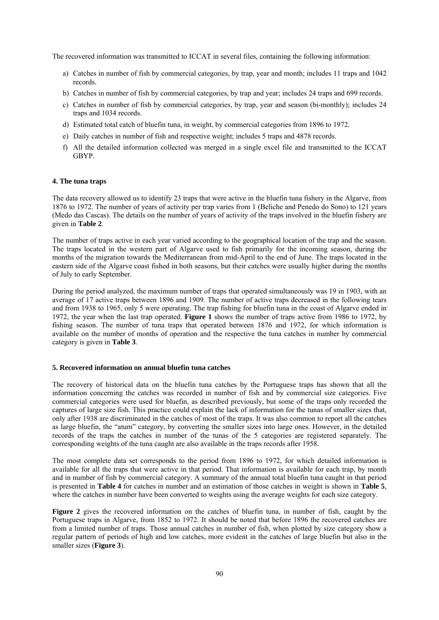The recovered information was transmitted to ICCAT in several files, containing the following information:

- a) Catches in number of fish by commercial categories, by trap, year and month; includes 11 traps and 1042 records.
- b) Catches in number of fish by commercial categories, by trap and year; includes 24 traps and 699 records.
- c) Catches in number of fish by commercial categories, by trap, year and season (bi-monthly); includes 24 traps and 1034 records.
- d) Estimated total catch of bluefin tuna, in weight, by commercial categories from 1896 to 1972.
- e) Daily catches in number of fish and respective weight; includes 5 traps and 4878 records.
- f) All the detailed information collected was merged in a single excel file and transmitted to the ICCAT GBYP.

#### **4. The tuna traps**

The data recovery allowed us to identify 23 traps that were active in the bluefin tuna fishery in the Algarve, from 1876 to 1972. The number of years of activity per trap varies from 1 (Beliche and Penedo do Sono) to 121 years (Medo das Cascas). The details on the number of years of activity of the traps involved in the bluefin fishery are given in **Table 2**.

The number of traps active in each year varied according to the geographical location of the trap and the season. The traps located in the western part of Algarve used to fish primarily for the incoming season, during the months of the migration towards the Mediterranean from mid-April to the end of June. The traps located in the eastern side of the Algarve coast fished in both seasons, but their catches were usually higher during the months of July to early September.

During the period analyzed, the maximum number of traps that operated simultaneously was 19 in 1903, with an average of 17 active traps between 1896 and 1909. The number of active traps decreased in the following tears and from 1938 to 1965, only 5 were operating. The trap fishing for bluefin tuna in the coast of Algarve ended in 1972, the year when the last trap operated. **Figure 1** shows the number of traps active from 1986 to 1972, by fishing season. The number of tuna traps that operated between 1876 and 1972, for which information is available on the number of months of operation and the respective the tuna catches in number by commercial category is given in **Table 3**.

#### **5. Recovered information on annual bluefin tuna catches**

The recovery of historical data on the bluefin tuna catches by the Portuguese traps has shown that all the information concerning the catches was recorded in number of fish and by commercial size categories. Five commercial categories were used for bluefin, as described previously, but some of the traps only recorded the captures of large size fish. This practice could explain the lack of information for the tunas of smaller sizes that, only after 1938 are discriminated in the catches of most of the traps. It was also common to report all the catches as large bluefin, the "atum" category, by converting the smaller sizes into large ones. However, in the detailed records of the traps the catches in number of the tunas of the 5 categories are registered separately. The corresponding weights of the tuna caught are also available in the traps records after 1958.

The most complete data set corresponds to the period from 1896 to 1972, for which detailed information is available for all the traps that were active in that period. That information is available for each trap, by month and in number of fish by commercial category. A summary of the annual total bluefin tuna caught in that period is presented in **Table 4** for catches in number and an estimation of those catches in weight is shown in **Table 5**, where the catches in number have been converted to weights using the average weights for each size category.

**Figure 2** gives the recovered information on the catches of bluefin tuna, in number of fish, caught by the Portuguese traps in Algarve, from 1852 to 1972. It should be noted that before 1896 the recovered catches are from a limited number of traps. Those annual catches in number of fish, when plotted by size category show a regular pattern of periods of high and low catches, more evident in the catches of large bluefin but also in the smaller sizes (**Figure 3**).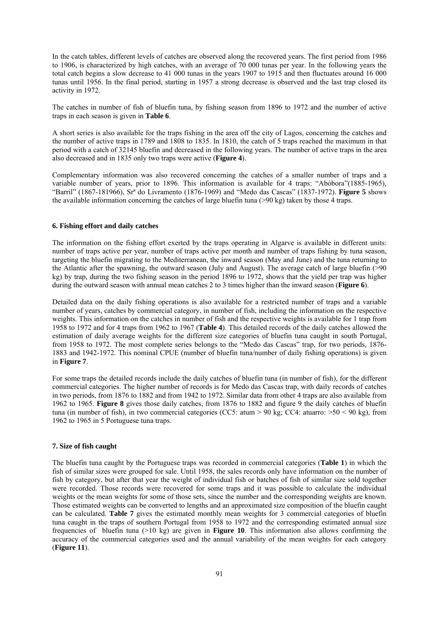In the catch tables, different levels of catches are observed along the recovered years. The first period from 1986 to 1906, is characterized by high catches, with an average of 70 000 tunas per year. In the following years the total catch begins a slow decrease to 41 000 tunas in the years 1907 to 1915 and then fluctuates around 16 000 tunas until 1956. In the final period, starting in 1957 a strong decrease is observed and the last trap closed its activity in 1972.

The catches in number of fish of bluefin tuna, by fishing season from 1896 to 1972 and the number of active traps in each season is given in **Table 6**.

A short series is also available for the traps fishing in the area off the city of Lagos, concerning the catches and the number of active traps in 1789 and 1808 to 1835. In 1810, the catch of 5 traps reached the maximum in that period with a catch of 32145 bluefin and decreased in the following years. The number of active traps in the area also decreased and in 1835 only two traps were active (**Figure 4**).

Complementary information was also recovered concerning the catches of a smaller number of traps and a variable number of years, prior to 1896. This information is available for 4 traps: "Abóbora"(1885-1965), "Barril" (1867-181966), Srª do Livramento (1876-1969) and "Medo das Cascas" (1837-1972). **Figure 5** shows the available information concerning the catches of large bluefin tuna (>90 kg) taken by those 4 traps.

#### **6. Fishing effort and daily catches**

The information on the fishing effort exerted by the traps operating in Algarve is available in different units: number of traps active per year, number of traps active per month and number of traps fishing by tuna season, targeting the bluefin migrating to the Mediterranean, the inward season (May and June) and the tuna returning to the Atlantic after the spawning, the outward season (July and August). The average catch of large bluefin (>90 kg) by trap, during the two fishing season in the period 1896 to 1972, shows that the yield per trap was higher during the outward season with annual mean catches 2 to 3 times higher than the inward season (**Figure 6**).

Detailed data on the daily fishing operations is also available for a restricted number of traps and a variable number of years, catches by commercial category, in number of fish, including the information on the respective weights. This information on the catches in number of fish and the respective weights is available for 1 trap from 1958 to 1972 and for 4 traps from 1962 to 1967 (**Table 4**). This detailed records of the daily catches allowed the estimation of daily average weights for the different size categories of bluefin tuna caught in south Portugal, from 1958 to 1972. The most complete series belongs to the "Medo das Cascas" trap, for two periods, 1876- 1883 and 1942-1972. This nominal CPUE (number of bluefin tuna/number of daily fishing operations) is given in **Figure 7**.

For some traps the detailed records include the daily catches of bluefin tuna (in number of fish), for the different commercial categories. The higher number of records is for Medo das Cascas trap, with daily records of catches in two periods, from 1876 to 1882 and from 1942 to 1972. Similar data from other 4 traps are also available from 1962 to 1965. **Figure 8** gives those daily catches, from 1876 to 1882 and figure 9 the daily catches of bluefin tuna (in number of fish), in two commercial categories (CC5:  $atum > 90$  kg; CC4:  $atuarro: >50 < 90$  kg), from 1962 to 1965 in 5 Portuguese tuna traps.

#### **7. Size of fish caught**

The bluefin tuna caught by the Portuguese traps was recorded in commercial categories (**Table 1**) in which the fish of similar sizes were grouped for sale. Until 1958, the sales records only have information on the number of fish by category, but after that year the weight of individual fish or batches of fish of similar size sold together were recorded. Those records were recovered for some traps and it was possible to calculate the individual weights or the mean weights for some of those sets, since the number and the corresponding weights are known. Those estimated weights can be converted to lengths and an approximated size composition of the bluefin caught can be calculated. **Table 7** gives the estimated monthly mean weights for 3 commercial categories of bluefin tuna caught in the traps of southern Portugal from 1958 to 1972 and the corresponding estimated annual size frequencies of bluefin tuna  $(>10 \text{ kg})$  are given in **Figure 10**. This information also allows confirming the accuracy of the commercial categories used and the annual variability of the mean weights for each category (**Figure 11**).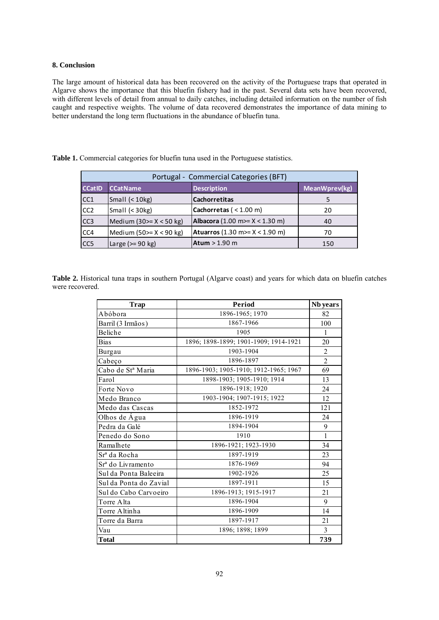### **8. Conclusion**

The large amount of historical data has been recovered on the activity of the Portuguese traps that operated in Algarve shows the importance that this bluefin fishery had in the past. Several data sets have been recovered, with different levels of detail from annual to daily catches, including detailed information on the number of fish caught and respective weights. The volume of data recovered demonstrates the importance of data mining to better understand the long term fluctuations in the abundance of bluefin tuna.

|                  | Portugal - Commercial Categories (BFT) |                                         |     |  |  |  |  |  |  |  |  |  |
|------------------|----------------------------------------|-----------------------------------------|-----|--|--|--|--|--|--|--|--|--|
| <b>CCatID</b>    | <b>CCatName</b>                        | MeanWprev(kg)                           |     |  |  |  |  |  |  |  |  |  |
| CC <sub>1</sub>  | Small $(10kg)$                         | <b>Cachorretitas</b>                    |     |  |  |  |  |  |  |  |  |  |
| CC <sub>2</sub>  | Small $(30kg)$                         | Cachorretas ( $<$ 1.00 m)               | 20  |  |  |  |  |  |  |  |  |  |
| CC <sub>3</sub>  | Medium $(30)= X < 50$ kg)              | Albacora (1.00 m>= $X < 1.30$ m)        | 40  |  |  |  |  |  |  |  |  |  |
| CC <sub>4</sub>  | Medium (50 $> = X < 90$ kg)            | <b>Atuarros</b> (1.30 m>= $X < 1.90$ m) | 70  |  |  |  |  |  |  |  |  |  |
| ICC <sub>5</sub> | Large $(>= 90$ kg)                     | Atum $> 1.90$ m                         | 150 |  |  |  |  |  |  |  |  |  |

**Table 1.** Commercial categories for bluefin tuna used in the Portuguese statistics.

**Table 2.** Historical tuna traps in southern Portugal (Algarve coast) and years for which data on bluefin catches were recovered.

| <b>Trap</b>                   | Period                                | Nb years       |
|-------------------------------|---------------------------------------|----------------|
| Abóbora                       | 1896-1965; 1970                       | 82             |
| Barril (3 Irmãos)             | 1867-1966                             | 100            |
| Beliche                       | 1905                                  | $\mathbf{1}$   |
| <b>Bias</b>                   | 1896; 1898-1899; 1901-1909; 1914-1921 | 20             |
| Burgau                        | 1903-1904                             | $\overline{2}$ |
| Cabeço                        | 1896-1897                             | $\overline{2}$ |
| Cabo de St <sup>a</sup> Maria | 1896-1903; 1905-1910; 1912-1965; 1967 | 69             |
| Farol                         | 1898-1903; 1905-1910; 1914            | 13             |
| Forte Novo                    | 1896-1918; 1920                       | 24             |
| Medo Branco                   | 1903-1904; 1907-1915; 1922            | 12             |
| Medo das Cascas               | 1852-1972                             | 121            |
| Olhos de Água                 | 1896-1919                             | 24             |
| Pedra da Galé                 | 1894-1904                             | 9              |
| Penedo do Sono                | 1910                                  | $\mathbf{1}$   |
| Ramalhete                     | 1896-1921; 1923-1930                  | 34             |
| Sr <sup>a</sup> da Rocha      | 1897-1919                             | 23             |
| Sr <sup>a</sup> do Livramento | 1876-1969                             | 94             |
| Sul da Ponta Baleeira         | 1902-1926                             | 25             |
| Sul da Ponta do Zavial        | 1897-1911                             | 15             |
| Sul do Cabo Carvoeiro         | 1896-1913; 1915-1917                  | 21             |
| Torre Alta                    | 1896-1904                             | 9              |
| Torre Altinha                 | 1896-1909                             | 14             |
| Torre da Barra                | 1897-1917                             | 21             |
| Vau                           | 1896; 1898; 1899                      | 3              |
| <b>Total</b>                  |                                       | 739            |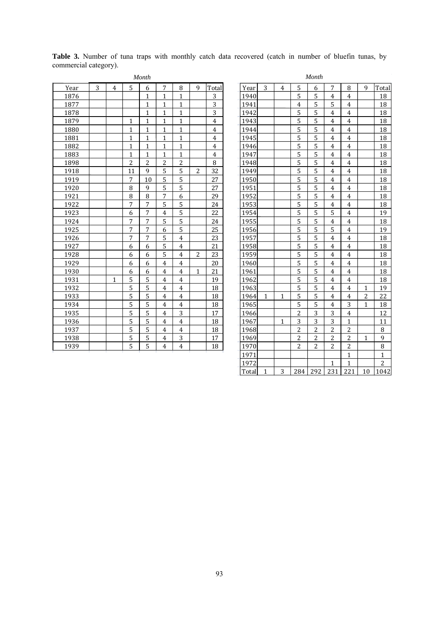|      |   |                |              | Month        |                |                |   |                |      |              |                |                | Montn          |                |                |                |                      |
|------|---|----------------|--------------|--------------|----------------|----------------|---|----------------|------|--------------|----------------|----------------|----------------|----------------|----------------|----------------|----------------------|
| Year | 3 | $\overline{4}$ | 5            | 6            | 7              | 8              | 9 | Total          | Year | 3            | $\overline{4}$ | 5              | 6              | 7              | 8              | 9              | Total                |
| 1876 |   |                |              | $\mathbf{1}$ | 1              | 1              |   | 3              | 1940 |              |                | 5              | 5              | $\overline{4}$ | 4              |                | 18                   |
| 1877 |   |                |              | $\mathbf{1}$ | 1              | $\mathbf{1}$   |   | 3              | 1941 |              |                | 4              | 5              | 5              | $\overline{4}$ |                | 18                   |
| 1878 |   |                |              | $\mathbf{1}$ | $\mathbf{1}$   | $\mathbf{1}$   |   | 3              | 1942 |              |                | 5              | 5              | $\overline{4}$ | 4              |                | 18                   |
| 1879 |   |                | 1            | $\mathbf{1}$ | 1              | $\mathbf{1}$   |   | $\overline{4}$ | 1943 |              |                | 5              | 5              | $\overline{4}$ | $\overline{4}$ |                | 18                   |
| 1880 |   |                | 1            | 1            | 1              | $\mathbf{1}$   |   | $\overline{4}$ | 1944 |              |                | 5              | 5              | 4              | 4              |                | 18                   |
| 1881 |   |                | 1            | 1            | 1              | $\mathbf{1}$   |   | 4              | 1945 |              |                | 5              | 5              | 4              | 4              |                | 18                   |
| 1882 |   |                | $\mathbf{1}$ | $\mathbf{1}$ | $\mathbf{1}$   | $\mathbf{1}$   |   | 4              | 1946 |              |                | 5              | 5              | $\overline{4}$ | 4              |                | 18                   |
| 1883 |   |                | $\mathbf{1}$ | $\mathbf{1}$ | 1              | $\mathbf{1}$   |   | 4              | 1947 |              |                | 5              | 5              | $\overline{4}$ | $\overline{4}$ |                | 18                   |
| 1898 |   |                | 2            | 2            | 2              | $\overline{2}$ |   | 8              | 1948 |              |                | 5              | 5              | 4              | $\overline{4}$ |                | 18                   |
| 1918 |   |                | 11           | $\mathbf{q}$ | 5              | 5              | 2 | 32             | 1949 |              |                | 5              | 5              | 4              | $\overline{4}$ |                | 18                   |
| 1919 |   |                | 7            | 10           | 5              | 5              |   | 27             | 1950 |              |                | 5              | 5              | $\overline{4}$ | 4              |                | 18                   |
| 1920 |   |                | 8            | 9            | 5              | 5              |   | 27             | 1951 |              |                | 5              | 5              | 4              | $\overline{4}$ |                | 18                   |
| 1921 |   |                | 8            | 8            | 7              | 6              |   | 29             | 1952 |              |                | 5              | 5              | 4              | 4              |                | 18                   |
| 1922 |   |                | 7            | 7            | 5              | 5              |   | 24             | 1953 |              |                | 5              | 5              | 4              | $\overline{4}$ |                | 18                   |
| 1923 |   |                | 6            | 7            | $\overline{4}$ | 5              |   | 22             | 1954 |              |                | 5              | 5              | 5              | 4              |                | 19                   |
| 1924 |   |                | 7            | 7            | 5              | 5              |   | 24             | 1955 |              |                | 5              | 5              | $\overline{4}$ | $\overline{4}$ |                | 18                   |
| 1925 |   |                | 7            | 7            | 6              | 5              |   | 25             | 1956 |              |                | 5              | 5              | 5              | $\overline{4}$ |                | 19                   |
| 1926 |   |                | 7            | 7            | 5              | $\overline{4}$ |   | 23             | 1957 |              |                | 5              | 5              | 4              | $\overline{4}$ |                | 18                   |
| 1927 |   |                | 6            | 6            | 5              | $\overline{4}$ |   | 21             | 1958 |              |                | 5              | 5              | $\overline{4}$ | 4              |                | 18                   |
| 1928 |   |                | 6            | 6            | 5              | $\overline{4}$ | 2 | 23             | 1959 |              |                | 5              | 5              | 4              | $\overline{4}$ |                | 18                   |
| 1929 |   |                | 6            | 6            | $\overline{4}$ | $\overline{4}$ |   | 20             | 1960 |              |                | 5              | 5              | 4              | $\overline{4}$ |                | 18                   |
| 1930 |   |                | 6            | 6            | $\overline{4}$ | $\overline{4}$ | 1 | 21             | 1961 |              |                | 5              | 5              | $\overline{4}$ | $\overline{4}$ |                | 18                   |
| 1931 |   | 1              | 5            | 5            | $\overline{4}$ | $\overline{4}$ |   | 19             | 1962 |              |                | 5              | 5              | $\overline{4}$ | 4              |                | 18                   |
| 1932 |   |                | 5            | 5            | $\overline{4}$ | $\overline{4}$ |   | 18             | 1963 |              |                | 5              | 5              | 4              | $\overline{4}$ | $\mathbf{1}$   | 19                   |
| 1933 |   |                | 5            | 5            | $\overline{4}$ | $\overline{4}$ |   | 18             | 1964 | $\mathbf{1}$ | $\mathbf{1}$   | 5              | 5              | $\overline{4}$ | $\overline{4}$ | $\overline{c}$ | 22                   |
| 1934 |   |                | 5            | 5            | $\overline{4}$ | $\overline{4}$ |   | 18             | 1965 |              |                | 5              | 5              | $\overline{4}$ | 3              | 1              | 18                   |
| 1935 |   |                | 5            | 5            | $\overline{4}$ | 3              |   | 17             | 1966 |              |                | 2              | 3              | 3              | 4              |                | 12                   |
| 1936 |   |                | 5            | 5            | $\overline{4}$ | $\overline{4}$ |   | 18             | 1967 |              | $\mathbf{1}$   | 3              | 3              | 3              | $\mathbf{1}$   |                | 11                   |
| 1937 |   |                | 5            | 5            | $\overline{4}$ | $\overline{4}$ |   | 18             | 1968 |              |                | 2              | $\overline{c}$ | $\overline{c}$ | 2              |                | $\, 8$               |
| 1938 |   |                | 5            | 5            | 4              | 3              |   | 17             | 1969 |              |                | 2              | $\overline{2}$ | 2              | 2              | 1              | 9                    |
| 1939 |   |                | 5            | 5            | 4              | $\overline{4}$ |   | 18             | 1970 |              |                | $\overline{c}$ | $\overline{2}$ | $\overline{c}$ | $\overline{c}$ |                | $\, 8$               |
|      |   |                |              |              |                |                |   |                | 1071 |              |                |                |                |                | 1              |                | $\blacktriangleleft$ |

**Table 3.** Number of tuna traps with monthly catch data recovered (catch in number of bluefin tunas, by commercial category).

| Month          |                |                         |                |                | Month |              |              |                |                |                         |                  |                |              |  |  |
|----------------|----------------|-------------------------|----------------|----------------|-------|--------------|--------------|----------------|----------------|-------------------------|------------------|----------------|--------------|--|--|
| 6              | 7              | 8                       | 9              | Total          | Year  | 3            | 4            | 5              | 6              | 7                       | 8                | 9              | Total        |  |  |
| $\mathbf{1}$   | $\mathbf{1}$   | $\mathbf{1}$            |                | 3              | 1940  |              |              | 5              | 5              | 4                       | $\overline{4}$   |                | 18           |  |  |
| $\mathbf{1}$   | $\mathbf{1}$   | $\mathbf{1}$            |                | 3              | 1941  |              |              | $\overline{4}$ | 5              | 5                       | $\overline{4}$   |                | 18           |  |  |
| $\mathbf 1$    | $\mathbf 1$    | $\mathbf{1}$            |                | 3              | 1942  |              |              | 5              | 5              | $\overline{4}$          | $\pmb{4}$        |                | 18           |  |  |
| $\mathbf{1}$   | $\mathbf{1}$   | $\mathbf{1}$            |                | $\overline{4}$ | 1943  |              |              | 5              | 5              | $\overline{4}$          | $\overline{4}$   |                | 18           |  |  |
| $\mathbf{1}$   | $\mathbf{1}$   | $\mathbf{1}$            |                | $\overline{4}$ | 1944  |              |              | 5              | 5              | $\overline{4}$          | 4                |                | 18           |  |  |
| $\mathbf{1}$   | $\mathbf{1}$   | $\mathbf{1}$            |                | $\overline{4}$ | 1945  |              |              | 5              | 5              | $\overline{4}$          | $\overline{4}$   |                | 18           |  |  |
| $\mathbf{1}$   | $\mathbf{1}$   | $\overline{1}$          |                | $\overline{4}$ | 1946  |              |              | 5              | 5              | $\overline{4}$          | $\overline{4}$   |                | 18           |  |  |
| $\mathbf{1}$   | $\mathbf{1}$   | $\mathbf{1}$            |                | $\overline{4}$ | 1947  |              |              | 5              | 5              | $\overline{4}$          | $\overline{4}$   |                | 18           |  |  |
| $\overline{c}$ | $\overline{2}$ | $\overline{c}$          |                | 8              | 1948  |              |              | 5              | 5              | $\overline{4}$          | 4                |                | 18           |  |  |
| 9              | 5              | 5                       | 2              | 32             | 1949  |              |              | 5              | 5              | $\overline{4}$          | $\overline{4}$   |                | 18           |  |  |
| 10             | 5              | 5                       |                | 27             | 1950  |              |              | 5              | 5              | $\overline{4}$          | 4                |                | 18           |  |  |
| 9              | 5              | $\overline{5}$          |                | 27             | 1951  |              |              | 5              | 5              | $\overline{\mathbf{4}}$ | $\overline{4}$   |                | 18           |  |  |
| 8              | 7              | 6                       |                | 29             | 1952  |              |              | 5              | 5              | 4                       | 4                |                | 18           |  |  |
| 7              | 5              | 5                       |                | 24             | 1953  |              |              | 5              | 5              | 4                       | 4                |                | 18           |  |  |
| 7              | 4              | 5                       |                | 22             | 1954  |              |              | 5              | 5              | 5                       | 4                |                | 19           |  |  |
| 7              | 5              | 5                       |                | 24             | 1955  |              |              | 5              | 5              | $\overline{4}$          | $\overline{4}$   |                | 18           |  |  |
| 7              | 6              | 5                       |                | 25             | 1956  |              |              | 5              | 5              | 5                       | $\pmb{4}$        |                | 19           |  |  |
| 7              | 5              | $\overline{4}$          |                | 23             | 1957  |              |              | 5              | 5              | $\overline{4}$          | $\pmb{4}$        |                | 18           |  |  |
| 6              | 5              | $\overline{4}$          |                | 21             | 1958  |              |              | 5              | 5              | $\overline{4}$          | $\overline{4}$   |                | 18           |  |  |
| 6              | 5              | $\overline{4}$          | $\overline{2}$ | 23             | 1959  |              |              | 5              | 5              | $\overline{4}$          | $\overline{4}$   |                | 18           |  |  |
| 6              | $\overline{4}$ | $\overline{\mathbf{4}}$ |                | 20             | 1960  |              |              | 5              | 5              | $\overline{4}$          | $\overline{4}$   |                | 18           |  |  |
| 6              | 4              | 4                       | $\mathbf{1}$   | 21             | 1961  |              |              | 5              | 5              | $\overline{4}$          | 4                |                | 18           |  |  |
| 5              | $\overline{4}$ | $\overline{4}$          |                | 19             | 1962  |              |              | 5              | 5              | 4                       | 4                |                | 18           |  |  |
| $\overline{5}$ | $\overline{4}$ | $\overline{4}$          |                | 18             | 1963  |              |              | 5              | 5              | $\overline{4}$          | $\overline{4}$   | $\mathbf{1}$   | 19           |  |  |
| 5              | $\overline{4}$ | $\overline{4}$          |                | 18             | 1964  | $\mathbf{1}$ | $\mathbf{1}$ | 5              | 5              | $\overline{4}$          | $\overline{4}$   | $\overline{2}$ | 22           |  |  |
| 5              | $\overline{4}$ | $\overline{4}$          |                | 18             | 1965  |              |              | 5              | 5              | $\overline{4}$          | 3                | $\mathbf{1}$   | 18           |  |  |
| 5              | $\overline{4}$ | 3                       |                | 17             | 1966  |              |              | $\overline{c}$ | $\overline{3}$ | 3                       | 4                |                | 12           |  |  |
| $\overline{5}$ | $\overline{4}$ | $\overline{4}$          |                | 18             | 1967  |              | $\mathbf{1}$ | 3              | $\overline{3}$ | 3                       | $\mathbf{1}$     |                | 11           |  |  |
| 5              | $\overline{4}$ | $\overline{4}$          |                | 18             | 1968  |              |              | $\overline{c}$ | $\overline{c}$ | $\overline{c}$          | $\overline{c}$   |                | 8            |  |  |
| 5              | 4              | 3                       |                | 17             | 1969  |              |              | $\overline{c}$ | $\overline{c}$ | $\overline{c}$          | $\overline{c}$   | 1              | 9            |  |  |
| 5              | $\overline{4}$ | 4                       |                | 18             | 1970  |              |              | 2              | 2              | 2                       | $\boldsymbol{2}$ |                | 8            |  |  |
|                |                |                         |                |                | 1971  |              |              |                |                |                         | $1\,$            |                | $\mathbf{1}$ |  |  |
|                |                |                         |                |                | 1972  |              |              |                |                | $\mathbf{1}$            | $\mathbf{1}$     |                | 2            |  |  |
|                |                |                         |                |                | Total | $\mathbf{1}$ | 3            | 284            | 292            | 231                     | 221              | 10             | 1042         |  |  |
|                |                |                         |                |                |       |              |              |                |                |                         |                  |                |              |  |  |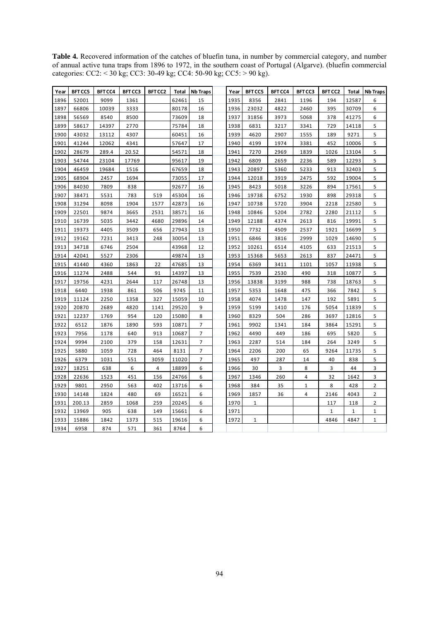**Table 4.** Recovered information of the catches of bluefin tuna, in number by commercial category, and number of annual active tuna traps from 1896 to 1972, in the southern coast of Portugal (Algarve). (bluefin commercial categories: CC2: < 30 kg; CC3: 30-49 kg; CC4: 50-90 kg; CC5: > 90 kg).

| Year | BFT CC5 | BFT CC4 | BFT CC3 | BFT CC2 | Total | <b>Nb Traps</b> | Year | <b>BFT CC5</b> | BFT CC4 | BFT CC3        | BFT CC2      | Total        | <b>Nb Traps</b> |
|------|---------|---------|---------|---------|-------|-----------------|------|----------------|---------|----------------|--------------|--------------|-----------------|
| 1896 | 52001   | 9099    | 1361    |         | 62461 | 15              | 1935 | 8356           | 2841    | 1196           | 194          | 12587        | 6               |
| 1897 | 66806   | 10039   | 3333    |         | 80178 | 16              | 1936 | 23032          | 4822    | 2460           | 395          | 30709        | 6               |
| 1898 | 56569   | 8540    | 8500    |         | 73609 | 18              | 1937 | 31856          | 3973    | 5068           | 378          | 41275        | 6               |
| 1899 | 58617   | 14397   | 2770    |         | 75784 | 18              | 1938 | 6831           | 3217    | 3341           | 729          | 14118        | 5               |
| 1900 | 43032   | 13112   | 4307    |         | 60451 | 16              | 1939 | 4620           | 2907    | 1555           | 189          | 9271         | 5               |
| 1901 | 41244   | 12062   | 4341    |         | 57647 | 17              | 1940 | 4199           | 1974    | 3381           | 452          | 10006        | 5               |
| 1902 | 28679   | 289.4   | 20.52   |         | 54571 | 18              | 1941 | 7270           | 2969    | 1839           | 1026         | 13104        | 5               |
| 1903 | 54744   | 23104   | 17769   |         | 95617 | 19              | 1942 | 6809           | 2659    | 2236           | 589          | 12293        | 5               |
| 1904 | 46459   | 19684   | 1516    |         | 67659 | 18              | 1943 | 20897          | 5360    | 5233           | 913          | 32403        | 5               |
| 1905 | 68904   | 2457    | 1694    |         | 73055 | 17              | 1944 | 12018          | 3919    | 2475           | 592          | 19004        | 5               |
| 1906 | 84030   | 7809    | 838     |         | 92677 | 16              | 1945 | 8423           | 5018    | 3226           | 894          | 17561        | 5               |
| 1907 | 38471   | 5531    | 783     | 519     | 45304 | 16              | 1946 | 19738          | 6752    | 1930           | 898          | 29318        | 5               |
| 1908 | 31294   | 8098    | 1904    | 1577    | 42873 | 16              | 1947 | 10738          | 5720    | 3904           | 2218         | 22580        | 5               |
| 1909 | 22501   | 9874    | 3665    | 2531    | 38571 | 16              | 1948 | 10846          | 5204    | 2782           | 2280         | 21112        | 5               |
| 1910 | 16739   | 5035    | 3442    | 4680    | 29896 | 14              | 1949 | 12188          | 4374    | 2613           | 816          | 19991        | 5               |
| 1911 | 19373   | 4405    | 3509    | 656     | 27943 | 13              | 1950 | 7732           | 4509    | 2537           | 1921         | 16699        | 5               |
| 1912 | 19162   | 7231    | 3413    | 248     | 30054 | 13              | 1951 | 6846           | 3816    | 2999           | 1029         | 14690        | 5               |
| 1913 | 34718   | 6746    | 2504    |         | 43968 | 12              | 1952 | 10261          | 6514    | 4105           | 633          | 21513        | 5               |
| 1914 | 42041   | 5527    | 2306    |         | 49874 | 13              | 1953 | 15368          | 5653    | 2613           | 837          | 24471        | 5               |
| 1915 | 41440   | 4360    | 1863    | 22      | 47685 | 13              | 1954 | 6369           | 3411    | 1101           | 1057         | 11938        | 5               |
| 1916 | 11274   | 2488    | 544     | 91      | 14397 | 13              | 1955 | 7539           | 2530    | 490            | 318          | 10877        | 5               |
| 1917 | 19756   | 4231    | 2644    | 117     | 26748 | 13              | 1956 | 13838          | 3199    | 988            | 738          | 18763        | 5               |
| 1918 | 6440    | 1938    | 861     | 506     | 9745  | 11              | 1957 | 5353           | 1648    | 475            | 366          | 7842         | 5               |
| 1919 | 11124   | 2250    | 1358    | 327     | 15059 | 10              | 1958 | 4074           | 1478    | 147            | 192          | 5891         | 5               |
| 1920 | 20870   | 2689    | 4820    | 1141    | 29520 | 9               | 1959 | 5199           | 1410    | 176            | 5054         | 11839        | 5               |
| 1921 | 12237   | 1769    | 954     | 120     | 15080 | 8               | 1960 | 8329           | 504     | 286            | 3697         | 12816        | 5               |
| 1922 | 6512    | 1876    | 1890    | 593     | 10871 | $\overline{7}$  | 1961 | 9902           | 1341    | 184            | 3864         | 15291        | 5               |
| 1923 | 7956    | 1178    | 640     | 913     | 10687 | $\overline{7}$  | 1962 | 4490           | 449     | 186            | 695          | 5820         | 5               |
| 1924 | 9994    | 2100    | 379     | 158     | 12631 | 7               | 1963 | 2287           | 514     | 184            | 264          | 3249         | 5               |
| 1925 | 5880    | 1059    | 728     | 464     | 8131  | 7               | 1964 | 2206           | 200     | 65             | 9264         | 11735        | 5               |
| 1926 | 6379    | 1031    | 551     | 3059    | 11020 | 7               | 1965 | 497            | 287     | 14             | 40           | 838          | 5               |
| 1927 | 18251   | 638     | 6       | 4       | 18899 | 6               | 1966 | 30             | 3       | 8              | 3            | 44           | 3               |
| 1928 | 22636   | 1523    | 451     | 156     | 24766 | 6               | 1967 | 1346           | 260     | $\overline{4}$ | 32           | 1642         | 3               |
| 1929 | 9801    | 2950    | 563     | 402     | 13716 | 6               | 1968 | 384            | 35      | $\mathbf{1}$   | 8            | 428          | $\overline{2}$  |
| 1930 | 14148   | 1824    | 480     | 69      | 16521 | 6               | 1969 | 1857           | 36      | 4              | 2146         | 4043         | $\overline{2}$  |
| 1931 | 200.13  | 2859    | 1068    | 259     | 20245 | 6               | 1970 | $\mathbf{1}$   |         |                | 117          | 118          | $\overline{2}$  |
| 1932 | 13969   | 905     | 638     | 149     | 15661 | 6               | 1971 |                |         |                | $\mathbf{1}$ | $\mathbf{1}$ | $\mathbf{1}$    |
| 1933 | 15886   | 1842    | 1373    | 515     | 19616 | 6               | 1972 | $1\,$          |         |                | 4846         | 4847         | $\mathbf 1$     |
| 1934 | 6958    | 874     | 571     | 361     | 8764  | 6               |      |                |         |                |              |              |                 |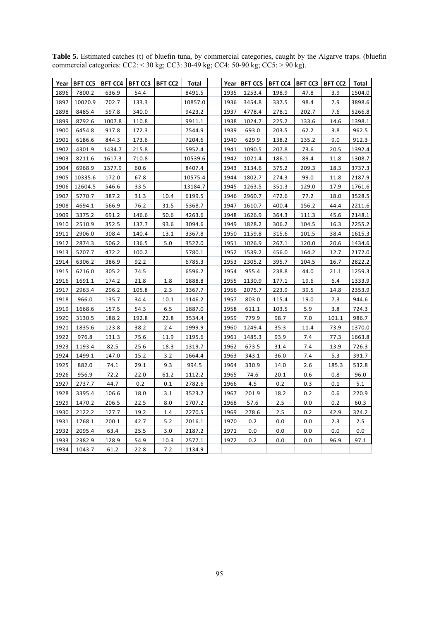|      | Year   BFT CC5 | <b>BFT CC4</b> | <b>BFT CC3</b> | <b>BFT CC2</b> | Total   |      | Year   BFT CC5 | <b>BFT CC4</b> | <b>BFT CC3</b> | <b>BFT CC2</b> | <b>Total</b> |
|------|----------------|----------------|----------------|----------------|---------|------|----------------|----------------|----------------|----------------|--------------|
| 1896 | 7800.2         | 636.9          | 54.4           |                | 8491.5  | 1935 | 1253.4         | 198.9          | 47.8           | 3.9            | 1504.0       |
| 1897 | 10020.9        | 702.7          | 133.3          |                | 10857.0 | 1936 | 3454.8         | 337.5          | 98.4           | 7.9            | 3898.6       |
| 1898 | 8485.4         | 597.8          | 340.0          |                | 9423.2  | 1937 | 4778.4         | 278.1          | 202.7          | 7.6            | 5266.8       |
| 1899 | 8792.6         | 1007.8         | 110.8          |                | 9911.1  | 1938 | 1024.7         | 225.2          | 133.6          | 14.6           | 1398.1       |
| 1900 | 6454.8         | 917.8          | 172.3          |                | 7544.9  | 1939 | 693.0          | 203.5          | 62.2           | 3.8            | 962.5        |
| 1901 | 6186.6         | 844.3          | 173.6          |                | 7204.6  | 1940 | 629.9          | 138.2          | 135.2          | 9.0            | 912.3        |
| 1902 | 4301.9         | 1434.7         | 215.8          |                | 5952.4  | 1941 | 1090.5         | 207.8          | 73.6           | 20.5           | 1392.4       |
| 1903 | 8211.6         | 1617.3         | 710.8          |                | 10539.6 | 1942 | 1021.4         | 186.1          | 89.4           | 11.8           | 1308.7       |
| 1904 | 6968.9         | 1377.9         | 60.6           |                | 8407.4  | 1943 | 3134.6         | 375.2          | 209.3          | 18.3           | 3737.3       |
| 1905 | 10335.6        | 172.0          | 67.8           |                | 10575.4 | 1944 | 1802.7         | 274.3          | 99.0           | 11.8           | 2187.9       |
| 1906 | 12604.5        | 546.6          | 33.5           |                | 13184.7 | 1945 | 1263.5         | 351.3          | 129.0          | 17.9           | 1761.6       |
| 1907 | 5770.7         | 387.2          | 31.3           | 10.4           | 6199.5  | 1946 | 2960.7         | 472.6          | 77.2           | 18.0           | 3528.5       |
| 1908 | 4694.1         | 566.9          | 76.2           | 31.5           | 5368.7  | 1947 | 1610.7         | 400.4          | 156.2          | 44.4           | 2211.6       |
| 1909 | 3375.2         | 691.2          | 146.6          | 50.6           | 4263.6  | 1948 | 1626.9         | 364.3          | 111.3          | 45.6           | 2148.1       |
| 1910 | 2510.9         | 352.5          | 137.7          | 93.6           | 3094.6  | 1949 | 1828.2         | 306.2          | 104.5          | 16.3           | 2255.2       |
| 1911 | 2906.0         | 308.4          | 140.4          | 13.1           | 3367.8  | 1950 | 1159.8         | 315.6          | 101.5          | 38.4           | 1615.3       |
| 1912 | 2874.3         | 506.2          | 136.5          | 5.0            | 3522.0  | 1951 | 1026.9         | 267.1          | 120.0          | 20.6           | 1434.6       |
| 1913 | 5207.7         | 472.2          | 100.2          |                | 5780.1  | 1952 | 1539.2         | 456.0          | 164.2          | 12.7           | 2172.0       |
| 1914 | 6306.2         | 386.9          | 92.2           |                | 6785.3  | 1953 | 2305.2         | 395.7          | 104.5          | 16.7           | 2822.2       |
| 1915 | 6216.0         | 305.2          | 74.5           |                | 6596.2  | 1954 | 955.4          | 238.8          | 44.0           | 21.1           | 1259.3       |
| 1916 | 1691.1         | 174.2          | 21.8           | 1.8            | 1888.8  | 1955 | 1130.9         | 177.1          | 19.6           | 6.4            | 1333.9       |
| 1917 | 2963.4         | 296.2          | 105.8          | 2.3            | 3367.7  | 1956 | 2075.7         | 223.9          | 39.5           | 14.8           | 2353.9       |
| 1918 | 966.0          | 135.7          | 34.4           | 10.1           | 1146.2  | 1957 | 803.0          | 115.4          | 19.0           | 7.3            | 944.6        |
| 1919 | 1668.6         | 157.5          | 54.3           | 6.5            | 1887.0  | 1958 | 611.1          | 103.5          | 5.9            | 3.8            | 724.3        |
| 1920 | 3130.5         | 188.2          | 192.8          | 22.8           | 3534.4  | 1959 | 779.9          | 98.7           | 7.0            | 101.1          | 986.7        |
| 1921 | 1835.6         | 123.8          | 38.2           | 2.4            | 1999.9  | 1960 | 1249.4         | 35.3           | 11.4           | 73.9           | 1370.0       |
| 1922 | 976.8          | 131.3          | 75.6           | 11.9           | 1195.6  | 1961 | 1485.3         | 93.9           | 7.4            | 77.3           | 1663.8       |
| 1923 | 1193.4         | 82.5           | 25.6           | 18.3           | 1319.7  | 1962 | 673.5          | 31.4           | 7.4            | 13.9           | 726.3        |
| 1924 | 1499.1         | 147.0          | 15.2           | 3.2            | 1664.4  | 1963 | 343.1          | 36.0           | 7.4            | 5.3            | 391.7        |
| 1925 | 882.0          | 74.1           | 29.1           | 9.3            | 994.5   | 1964 | 330.9          | 14.0           | 2.6            | 185.3          | 532.8        |
| 1926 | 956.9          | 72.2           | 22.0           | 61.2           | 1112.2  | 1965 | 74.6           | 20.1           | 0.6            | 0.8            | 96.0         |
| 1927 | 2737.7         | 44.7           | 0.2            | 0.1            | 2782.6  | 1966 | 4.5            | 0.2            | 0.3            | 0.1            | 5.1          |
| 1928 | 3395.4         | 106.6          | 18.0           | 3.1            | 3523.2  | 1967 | 201.9          | 18.2           | 0.2            | 0.6            | 220.9        |
| 1929 | 1470.2         | 206.5          | 22.5           | 8.0            | 1707.2  | 1968 | 57.6           | 2.5            | 0.0            | 0.2            | 60.3         |
| 1930 | 2122.2         | 127.7          | 19.2           | 1.4            | 2270.5  | 1969 | 278.6          | 2.5            | 0.2            | 42.9           | 324.2        |
| 1931 | 1768.1         | 200.1          | 42.7           | 5.2            | 2016.1  | 1970 | 0.2            | 0.0            | 0.0            | 2.3            | 2.5          |
| 1932 | 2095.4         | 63.4           | 25.5           | 3.0            | 2187.2  | 1971 | 0.0            | 0.0            | 0.0            | 0.0            | 0.0          |
| 1933 | 2382.9         | 128.9          | 54.9           | 10.3           | 2577.1  | 1972 | 0.2            | 0.0            | 0.0            | 96.9           | 97.1         |
| 1934 | 1043.7         | 61.2           | 22.8           | 7.2            | 1134.9  |      |                |                |                |                |              |

**Table 5.** Estimated catches (t) of bluefin tuna, by commercial categories, caught by the Algarve traps. (bluefin commercial categories: CC2: < 30 kg; CC3: 30-49 kg; CC4: 50-90 kg; CC5: > 90 kg).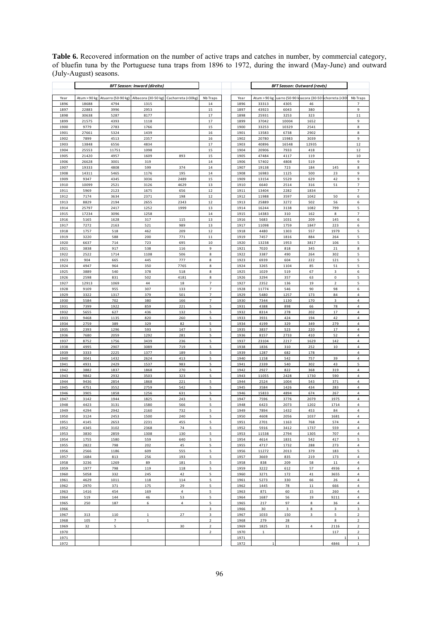**Table 6.** Recovered information on the number of active traps and catches in number, by commercial category, of bluefin tuna by the Portuguese tuna traps from 1896 to 1972, during the inward (May-June) and outward (July-August) seasons.

|              |                |                            | <b>BFT Season: Inward (direito)</b> |                    |                               |              | <b>BFT Season: Outward (revés)</b> |                                                                  |             |                         |                                           |
|--------------|----------------|----------------------------|-------------------------------------|--------------------|-------------------------------|--------------|------------------------------------|------------------------------------------------------------------|-------------|-------------------------|-------------------------------------------|
|              |                |                            |                                     |                    |                               |              |                                    |                                                                  |             |                         |                                           |
| Year         | Atum > 90 kg   | Atuarro (50-90 kg)<br>4794 | Albacora (30-50 kg)                 | Cachorreta (<30kg) | Nb Traps                      | Year         |                                    | Atum > 90 kg tuarro (50-90 kbacora (30-50 lchorreta (<30<br>4305 |             |                         | Nb Traps<br>$\overline{\phantom{a}}$      |
| 1896<br>1897 | 18688<br>22883 | 3996                       | 1315<br>2953                        |                    | 14<br>15                      | 1896<br>1897 | 33313<br>43923                     | 6043                                                             | 46<br>380   |                         | $\mathsf g$                               |
| 1898         | 30638          | 5287                       | 8177                                |                    | 17                            | 1898         | 25931                              | 3253                                                             | 323         |                         | $11\,$                                    |
| 1899         | 21575          | 4393                       | 1118                                |                    | 17                            | 1899         | 37042                              | 10004                                                            | 1652        |                         | 9                                         |
| 1900         | 9779           | 2783                       | 1766                                |                    | 15                            | 1900         | 33253                              | 10329                                                            | 2541        |                         | $\bf8$                                    |
| 1901         | 27661          | 5324                       | 1439                                |                    | 16                            | 1901         | 13583                              | 6738                                                             | 2902        |                         | 8                                         |
| 1902         | 7899           | 4513                       | 2357                                |                    | 16                            | 1902         | 20780                              | 15983                                                            | 3039        |                         | 9                                         |
| 1903         | 13848          | 6556                       | 4834                                |                    | 17                            | 1903         | 40896                              | 16548                                                            | 12935       |                         | 12                                        |
| 1904         | 25553          | 11751                      | 1098                                |                    | 15                            | 1904         | 20906                              | 7933                                                             | 418         |                         | 12                                        |
| 1905<br>1906 | 21420<br>26628 | 4957                       | 1609<br>319                         | 893                | 15<br>14                      | 1905         | 47484<br>57402                     | 4117<br>4808                                                     | 119<br>519  |                         | $10\,$<br>9                               |
| 1907         | 19333          | 3001<br>4808               | 599                                 | 374                | 14                            | 1906<br>1907 | 19138                              | 723                                                              | 184         | 145                     | 8                                         |
| 1908         | 14311          | 5465                       | 1176                                | 195                | 14                            | 1908         | 16983                              | 1125                                                             | 500         | 23                      | 9                                         |
| 1909         | 9347           | 4345                       | 3036                                | 2489               | 15                            | 1909         | 13154                              | 5529                                                             | 629         | 42                      | 9                                         |
| 1910         | 10099          | 2521                       | 3126                                | 4629               | 13                            | 1910         | 6640                               | 2514                                                             | 316         | 51                      | $\overline{7}$                            |
| 1911         | 5969           | 2123                       | 1675                                | 656                | 12                            | 1911         | 13404                              | 2282                                                             | 1834        |                         | $\overline{7}$                            |
| 1912         | 7174           | 3634                       | 2371                                | 198                | 12                            | 1912         | 11988                              | 3597                                                             | 1042        | 50                      | $\,6\,$                                   |
| 1913         | 8829           | 2194                       | 2655                                | 2343               | 12                            | 1913         | 25889                              | 3272                                                             | 502         | 56                      | 6                                         |
| 1914<br>1915 | 25797<br>17234 | 2417<br>3096               | 1252<br>1258                        | 1999               | 13<br>14                      | 1914<br>1915 | 16244<br>14383                     | 3138<br>310                                                      | 1082<br>162 | 799<br>8                | 5<br>$\overline{7}$                       |
| 1916         | 5165           | 1628                       | 317                                 | 115                | 13                            | 1916         | 5683                               | 1031                                                             | 209         | 145                     | 6                                         |
| 1917         | 7272           | 2163                       | 521                                 | 989                | 13                            | 1917         | 11098                              | 1759                                                             | 1847        | 223                     | 6                                         |
| 1918         | 1757           | 518                        | 462                                 | 209                | 12                            | 1918         | 4480                               | 1303                                                             | 557         | 1979                    | 5                                         |
| 1919         | 3220           | 588                        | 200                                 | 771                | 11                            | 1919         | 7457                               | 1816                                                             | 884         | 264                     | 5                                         |
| 1920         | 6637           | 714                        | 723                                 | 695                | 10                            | 1920         | 13238                              | 1953                                                             | 3817        | 106                     | 5                                         |
| 1921         | 3838           | 917                        | 538                                 | 116                | 9                             | 1921         | 7020                               | 818                                                              | 345         | 21                      | $\bf 8$                                   |
| 1922         | 2522           | 1714                       | 1108                                | 506                | 8                             | 1922         | 3387                               | 490                                                              | 264         | 302                     | $\sf 5$                                   |
| 1923<br>1924 | 904<br>4947    | 665<br>964                 | 445<br>350                          | 777<br>7765        | 8<br>8                        | 1923<br>1924 | 6939<br>3265                       | 604<br>1104                                                      | 222<br>85   | 121<br>51               | 5<br>5                                    |
| 1925         | 3889           | 540                        | 378                                 | 518                | 8                             | 1925         | 1029                               | 519                                                              | 67          | $\mathsf 3$             | $6 \overline{}$                           |
| 1926         | 2598           | 831                        | 502                                 | 4181               | 8                             | 1926         | 3294                               | 357                                                              | 63          | $\mathbf 0$             | 5                                         |
| 1927         | 12913          | 1069                       | 44                                  | 18                 | $\overline{7}$                | 1927         | 2352                               | 136                                                              | 19          | $\overline{\mathbf{c}}$ | 5                                         |
| 1928         | 9109           | 955                        | 307                                 | 133                | $\overline{7}$                | 1928         | 11774                              | 546                                                              | 90          | 98                      | 6                                         |
| 1929         | 3322           | 1317                       | 379                                 | 501                | $\overline{7}$                | 1929         | 5480                               | 1257                                                             | 173         | 84                      | $\sqrt{4}$                                |
| 1930         | 5584           | 702                        | 380                                 | 166                | $\overline{7}$                | 1930         | 7344                               | 1130                                                             | 170         | $\mathsf 3$             | $\overline{4}$                            |
| 1931         | 7399           | 1922                       | 859                                 | 221                | $\sf 5$                       | 1931         | 4388                               | 898                                                              | 66          | 78                      | $\overline{4}$                            |
| 1932         | 5655           | 627                        | 436                                 | 132                | 5                             | 1932         | 8314                               | 278                                                              | 202         | 17                      | $\overline{4}$                            |
| 1933<br>1934 | 9468<br>2759   | 1135<br>389                | 820<br>329                          | 260<br>82          | 5<br>5                        | 1933<br>1934 | 3931<br>4199                       | 424<br>329                                                       | 194<br>349  | 42<br>279               | $\overline{4}$<br>$\sqrt{4}$              |
| 1935         | 2393           | 1296                       | 593                                 | 147                | 5                             | 1935         | 3837                               | 523                                                              | 220         | 17                      | $\overline{4}$                            |
| 1936         | 7680           | 2059                       | 1292                                | 281                | 5                             | 1936         | 8157                               | 2733                                                             | 410         | 52                      | $\overline{4}$                            |
| 1937         | 8752           | 1756                       | 3439                                | 236                | 5                             | 1937         | 23104                              | 2217                                                             | 1629        | 142                     | 4                                         |
| 1938         | 4995           | 2907                       | 3089                                | 719                | 5                             | 1938         | 1836                               | 310                                                              | 252         | 10                      | $\sqrt{4}$                                |
| 1939         | 3333           | 2225                       | 1377                                | 189                | 5                             | 1939         | 1287                               | 682                                                              | 178         |                         | $\pmb{4}$                                 |
| 1940         | 3041           | 1432                       | 2624                                | 413                | 5                             | 1940         | 1158                               | 542                                                              | 757         | 39                      | 4                                         |
| 1941<br>1942 | 4931<br>3882   | 2429<br>1837               | 1537<br>1868                        | 983<br>270         | 5<br>5                        | 1941<br>1942 | 2339<br>2927                       | 540<br>822                                                       | 302<br>368  | 43<br>319               | 5<br>$\sqrt{4}$                           |
| 1943         | 9842           | 2932                       | 3503                                | 323                | 5                             | 1943         | 11055                              | 2428                                                             | 1730        | 590                     | $\sqrt{4}$                                |
| 1944         | 9436           | 2854                       | 1868                                | 221                | 5                             | 1944         | 2524                               | 1004                                                             | 543         | 371                     | $\overline{\mathbf{4}}$                   |
| 1945         | 4751           | 3552                       | 2759                                | 542                | 5                             | 1945         | 3584                               | 1426                                                             | 434         | 283                     | 4                                         |
| 1946         | 3905           | 1858                       | 1256                                | 631                | 5                             | 1946         | 15833                              | 4894                                                             | 674         | 267                     | $\overline{\mathbf{4}}$                   |
| 1947         | 3142           | 1944                       | 1825                                | 243                | 5                             | 1947         | 7596                               | 3776                                                             | 2079        | 1975                    | $\pmb{4}$                                 |
| 1948         | 4423           | 3131                       | 1580                                | 566                | 5                             | 1948         | 6423                               | 2073                                                             | 1202        | 1714                    | $\sqrt{4}$                                |
| 1949         | 4294           | 2942                       | 2160                                | 732                | 5                             | 1949         | 7894                               | 1432                                                             | 453         | 84                      | 4                                         |
| 1950<br>1951 | 3124<br>4145   | 2453<br>2653               | 1500<br>2231                        | 240<br>455         | $\overline{\mathbf{5}}$<br>5  | 1950<br>1951 | 4608<br>2701                       | 2056<br>1163                                                     | 1037<br>768 | 1681<br>574             | $\sqrt{4}$<br>$\overline{4}$              |
| 1952         | 4345           | 3102                       | 2368                                | 74                 | 5                             | 1952         | 5916                               | 3412                                                             | 1737        | 559                     | $\overline{4}$                            |
| 1953         | 3830           | 2859                       | 1308                                | 130                | 5                             | 1953         | 11538                              | 2794                                                             | 1305        | 707                     | 4                                         |
| 1954         | 1755           | 1580                       | 559                                 | 640                | 5                             | 1954         | 4614                               | 1831                                                             | 542         | 417                     | 5                                         |
| 1955         | 2822           | 798                        | 202                                 | 45                 | 5                             | 1955         | 4717                               | 1732                                                             | 288         | 273                     | 4                                         |
| 1956         | 2566           | 1186                       | 609                                 | 555                | 5                             | 1956         | 11272                              | 2013                                                             | 379         | 183                     | 5                                         |
| 1957         | 1684           | 813                        | 256                                 | 193                | 5                             | 1957         | 3669                               | 835                                                              | 219         | 173                     | $\overline{4}$                            |
| 1958<br>1959 | 3236<br>1977   | 1269<br>798                | 89<br>119                           | 181<br>118         | 5<br>5                        | 1958<br>1959 | 838                                | 209                                                              | 58<br>57    | 11<br>4936              | $\overline{4}$<br>$\overline{\mathbf{4}}$ |
| 1960         | 5058           | 332                        | 245                                 | 42                 | 5                             | 1960         | 3222<br>3271                       | 612<br>172                                                       | 41          | 3655                    | $\overline{4}$                            |
| 1961         | 4629           | 1011                       | 118                                 | 114                | 5                             | 1961         | 5273                               | 330                                                              | 66          | 26                      | 4                                         |
| 1962         | 2970           | 371                        | 175                                 | 29                 | 5                             | 1962         | 1445                               | 78                                                               | $11\,$      | 666                     | $\overline{4}$                            |
| 1963         | 1416           | 454                        | 169                                 | $\sqrt{4}$         | 5                             | 1963         | 871                                | 60                                                               | 15          | 260                     | $\sqrt{4}$                                |
| 1964         | 519            | 144                        | 46                                  | 53                 | $\sf 5$                       | 1964         | 1687                               | 56                                                               | 19          | 9211                    | $\ensuremath{\mathsf{4}}$                 |
| 1965         | 250            | 187                        | 6                                   | $\overline{4}$     | 5                             | 1965         | 217                                | 97                                                               | 8           | 36                      | $\overline{4}$                            |
| 1966         |                |                            |                                     |                    | 3                             | 1966         | 30                                 | 3                                                                | 8           | 3                       | 3                                         |
| 1967         | 313<br>105     | 110                        | $\mathbf 1$<br>$\mathbf 1$          | 27                 | $\overline{\mathbf{3}}$       | 1967         | 1033                               | 150                                                              | 3           | 5                       | $\mathbf 2$                               |
| 1968<br>1969 | 32             | $\overline{7}$<br>5        |                                     | 30                 | $\overline{2}$<br>$\mathbf 2$ | 1968<br>1969 | 279<br>1825                        | 28<br>31                                                         | $\sqrt{4}$  | $\bf8$<br>2116          | $\overline{2}$<br>$\mathbf 2$             |
| 1970         |                |                            |                                     |                    | $\overline{2}$                | 1970         | $\mathbf{1}$                       |                                                                  |             | 117                     | $\overline{2}$                            |
| 1971         |                |                            |                                     |                    |                               | 1971         |                                    |                                                                  |             |                         | $\mathbf 1$                               |
| 1972         |                |                            |                                     |                    |                               | 1972         | 1                                  |                                                                  |             | 4846                    | $\mathbf 1$                               |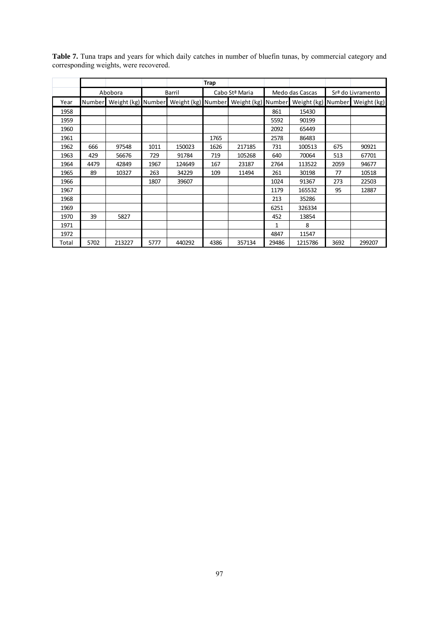|       |        |                    |      |                    | Trap |                |        |                    |      |                   |
|-------|--------|--------------------|------|--------------------|------|----------------|--------|--------------------|------|-------------------|
|       |        | Abobora            |      | Barril             |      | Cabo Stª Maria |        | Medo das Cascas    |      | Srª do Livramento |
| Year  | Number | Weight (kg) Number |      | Weight (kg) Number |      | Weight (kg)    | Number | Weight (kg) Number |      | Weight (kg)       |
| 1958  |        |                    |      |                    |      |                | 861    | 15430              |      |                   |
| 1959  |        |                    |      |                    |      |                | 5592   | 90199              |      |                   |
| 1960  |        |                    |      |                    |      |                | 2092   | 65449              |      |                   |
| 1961  |        |                    |      |                    | 1765 |                | 2578   | 86483              |      |                   |
| 1962  | 666    | 97548              | 1011 | 150023             | 1626 | 217185         | 731    | 100513             | 675  | 90921             |
| 1963  | 429    | 56676              | 729  | 91784              | 719  | 105268         | 640    | 70064              | 513  | 67701             |
| 1964  | 4479   | 42849              | 1967 | 124649             | 167  | 23187          | 2764   | 113522             | 2059 | 94677             |
| 1965  | 89     | 10327              | 263  | 34229              | 109  | 11494          | 261    | 30198              | 77   | 10518             |
| 1966  |        |                    | 1807 | 39607              |      |                | 1024   | 91367              | 273  | 22503             |
| 1967  |        |                    |      |                    |      |                | 1179   | 165532             | 95   | 12887             |
| 1968  |        |                    |      |                    |      |                | 213    | 35286              |      |                   |
| 1969  |        |                    |      |                    |      |                | 6251   | 326334             |      |                   |
| 1970  | 39     | 5827               |      |                    |      |                | 452    | 13854              |      |                   |
| 1971  |        |                    |      |                    |      |                | 1      | 8                  |      |                   |
| 1972  |        |                    |      |                    |      |                | 4847   | 11547              |      |                   |
| Total | 5702   | 213227             | 5777 | 440292             | 4386 | 357134         | 29486  | 1215786            | 3692 | 299207            |

**Table 7.** Tuna traps and years for which daily catches in number of bluefin tunas, by commercial category and corresponding weights, were recovered.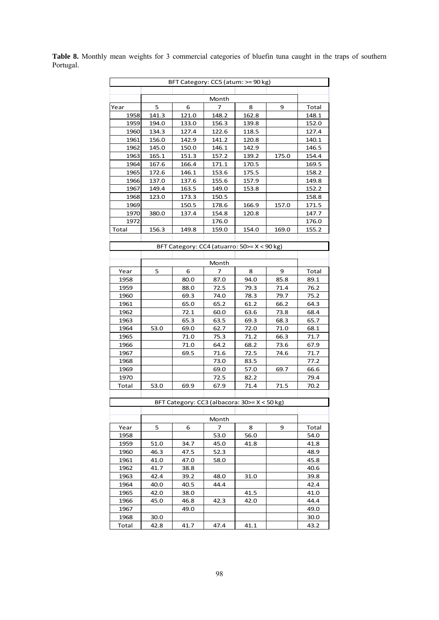| BFT Category: CC5 (atum: >= 90 kg) |       |                                               |       |       |       |       |  |  |  |  |  |  |  |
|------------------------------------|-------|-----------------------------------------------|-------|-------|-------|-------|--|--|--|--|--|--|--|
| Month                              |       |                                               |       |       |       |       |  |  |  |  |  |  |  |
|                                    |       |                                               |       |       |       |       |  |  |  |  |  |  |  |
| Year                               | 5     | 6                                             | 7     | 8     | 9     | Total |  |  |  |  |  |  |  |
| 1958                               | 141.3 | 121.0                                         | 148.2 | 162.8 |       | 148.1 |  |  |  |  |  |  |  |
| 1959                               | 194.0 | 133.0                                         | 156.3 | 139.8 |       | 152.0 |  |  |  |  |  |  |  |
| 1960                               | 134.3 | 127.4                                         | 122.6 | 118.5 |       | 127.4 |  |  |  |  |  |  |  |
| 1961                               | 156.0 | 142.9                                         | 141.2 | 120.8 |       | 140.1 |  |  |  |  |  |  |  |
| 1962                               | 145.0 | 150.0                                         | 146.1 | 142.9 |       | 146.5 |  |  |  |  |  |  |  |
| 1963                               | 165.1 | 151.3                                         | 157.2 | 139.2 | 175.0 | 154.4 |  |  |  |  |  |  |  |
| 1964                               | 167.6 | 166.4                                         | 171.1 | 170.5 |       | 169.5 |  |  |  |  |  |  |  |
| 1965                               | 172.6 | 146.1                                         | 153.6 | 175.5 |       | 158.2 |  |  |  |  |  |  |  |
| 1966                               | 137.0 | 137.6                                         | 155.6 | 157.9 |       | 149.8 |  |  |  |  |  |  |  |
| 1967                               | 149.4 | 163.5                                         | 149.0 | 153.8 |       | 152.2 |  |  |  |  |  |  |  |
| 1968                               | 123.0 | 173.3                                         | 150.5 |       |       | 158.8 |  |  |  |  |  |  |  |
| 1969                               |       | 150.5                                         | 178.6 | 166.9 | 157.0 | 171.5 |  |  |  |  |  |  |  |
| 1970                               | 380.0 | 137.4                                         | 154.8 | 120.8 |       | 147.7 |  |  |  |  |  |  |  |
| 1972                               |       |                                               | 176.0 |       |       | 176.0 |  |  |  |  |  |  |  |
| Total                              | 156.3 | 149.8                                         | 159.0 | 154.0 | 169.0 | 155.2 |  |  |  |  |  |  |  |
|                                    |       |                                               |       |       |       |       |  |  |  |  |  |  |  |
|                                    |       | BFT Category: CC4 (atuarro: $50>= X < 90$ kg) |       |       |       |       |  |  |  |  |  |  |  |
|                                    |       |                                               |       |       |       |       |  |  |  |  |  |  |  |
|                                    |       |                                               | Month |       |       |       |  |  |  |  |  |  |  |
| Year                               | 5     | 6                                             | 7     | 8     | 9     | Total |  |  |  |  |  |  |  |
| 1958                               |       | 80.0                                          | 87.0  | 94.0  | 85.8  | 89.1  |  |  |  |  |  |  |  |
| 1959                               |       | 88.0                                          | 72.5  | 79.3  | 71.4  | 76.2  |  |  |  |  |  |  |  |
| 1960                               |       | 69.3                                          | 74.0  | 78.3  | 79.7  | 75.2  |  |  |  |  |  |  |  |
| 1961                               |       | 65.0                                          | 65.2  | 61.2  | 66.2  | 64.3  |  |  |  |  |  |  |  |
| 1962                               |       | 72.1                                          | 60.0  | 63.6  | 73.8  | 68.4  |  |  |  |  |  |  |  |
| 1963                               |       | 65.3                                          | 63.5  | 69.3  | 68.3  | 65.7  |  |  |  |  |  |  |  |
| 1964                               | 53.0  | 69.0                                          | 62.7  | 72.0  | 71.0  | 68.1  |  |  |  |  |  |  |  |
| 1965                               |       | 71.0                                          | 75.3  | 71.2  | 66.3  | 71.7  |  |  |  |  |  |  |  |
| 1966                               |       | 71.0                                          | 64.2  | 68.2  | 73.6  | 67.9  |  |  |  |  |  |  |  |
| 1967                               |       | 69.5                                          | 71.6  | 72.5  | 74.6  | 71.7  |  |  |  |  |  |  |  |
| 1968                               |       |                                               | 73.0  | 83.5  |       | 77.2  |  |  |  |  |  |  |  |
| 1969                               |       |                                               | 69.0  | 57.0  | 69.7  | 66.6  |  |  |  |  |  |  |  |
| 1970                               |       |                                               | 72.5  | 82.2  |       | 79.4  |  |  |  |  |  |  |  |
| Total                              | 53.0  | 69.9                                          | 67.9  | 71.4  | 71.5  | 70.2  |  |  |  |  |  |  |  |
|                                    |       |                                               |       |       |       |       |  |  |  |  |  |  |  |
|                                    |       | BFT Category: CC3 (albacora: 30>= X < 50 kg)  |       |       |       |       |  |  |  |  |  |  |  |
|                                    |       |                                               |       |       |       |       |  |  |  |  |  |  |  |
|                                    |       |                                               | Month |       |       |       |  |  |  |  |  |  |  |
| Year                               | 5     | 6                                             | 7     | 8     | 9     | Total |  |  |  |  |  |  |  |
| 1958                               |       |                                               | 53.0  | 56.0  |       | 54.0  |  |  |  |  |  |  |  |
| 1959                               | 51.0  | 34.7                                          | 45.0  | 41.8  |       | 41.8  |  |  |  |  |  |  |  |
| 1960                               | 46.3  | 47.5                                          | 52.3  |       |       | 48.9  |  |  |  |  |  |  |  |
| 1961                               | 41.0  | 47.0                                          | 58.0  |       |       | 45.8  |  |  |  |  |  |  |  |
| 1962                               | 41.7  | 38.8                                          |       |       |       | 40.6  |  |  |  |  |  |  |  |
| 1963                               | 42.4  | 39.2                                          | 48.0  | 31.0  |       | 39.8  |  |  |  |  |  |  |  |
| 1964                               | 40.0  | 40.5                                          | 44.4  |       |       | 42.4  |  |  |  |  |  |  |  |
| 1965                               | 42.0  | 38.0                                          |       | 41.5  |       | 41.0  |  |  |  |  |  |  |  |
| 1966                               | 45.0  | 46.8                                          | 42.3  | 42.0  |       | 44.4  |  |  |  |  |  |  |  |
| 1967                               |       | 49.0                                          |       |       |       | 49.0  |  |  |  |  |  |  |  |
| 1968                               | 30.0  |                                               |       |       |       | 30.0  |  |  |  |  |  |  |  |
| Total                              | 42.8  | 41.7                                          | 47.4  | 41.1  |       | 43.2  |  |  |  |  |  |  |  |

**Table 8.** Monthly mean weights for 3 commercial categories of bluefin tuna caught in the traps of southern Portugal.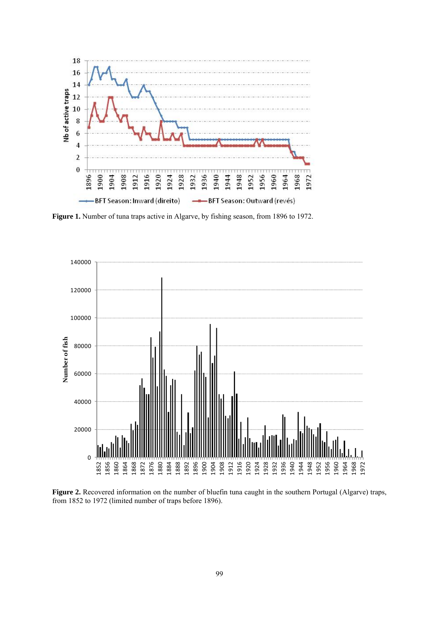

**Figure 1.** Number of tuna traps active in Algarve, by fishing season, from 1896 to 1972.



**Figure 2.** Recovered information on the number of bluefin tuna caught in the southern Portugal (Algarve) traps, from 1852 to 1972 (limited number of traps before 1896).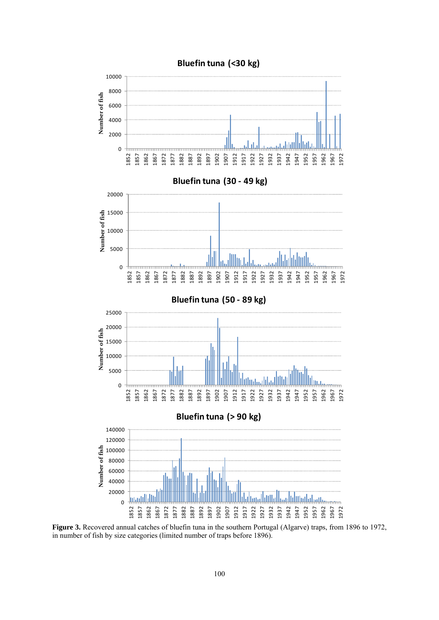

**Figure 3.** Recovered annual catches of bluefin tuna in the southern Portugal (Algarve) traps, from 1896 to 1972, in number of fish by size categories (limited number of traps before 1896).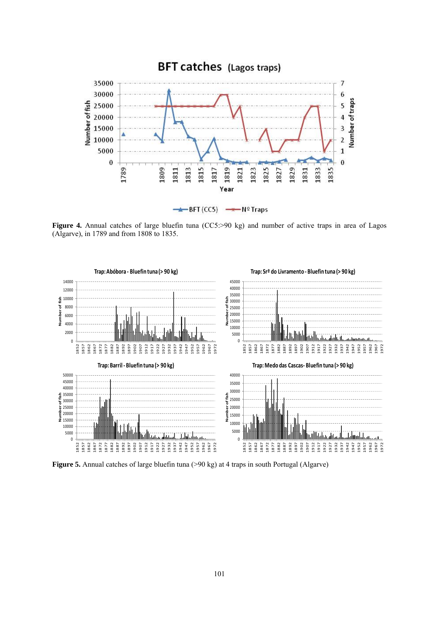

Figure 4. Annual catches of large bluefin tuna (CC5:>90 kg) and number of active traps in area of Lagos (Algarve), in 1789 and from 1808 to 1835.



**Figure 5.** Annual catches of large bluefin tuna (>90 kg) at 4 traps in south Portugal (Algarve)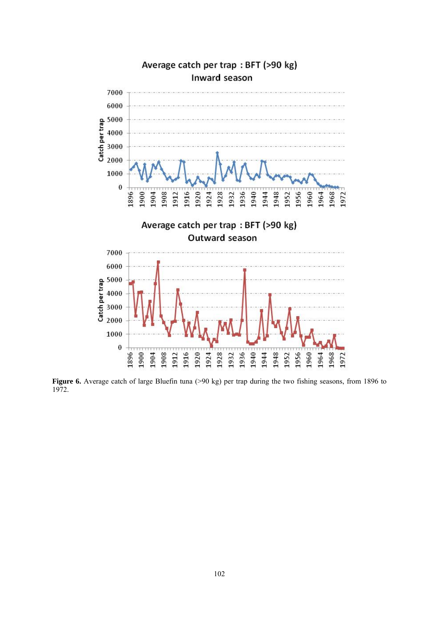

Figure 6. Average catch of large Bluefin tuna (>90 kg) per trap during the two fishing seasons, from 1896 to 1972.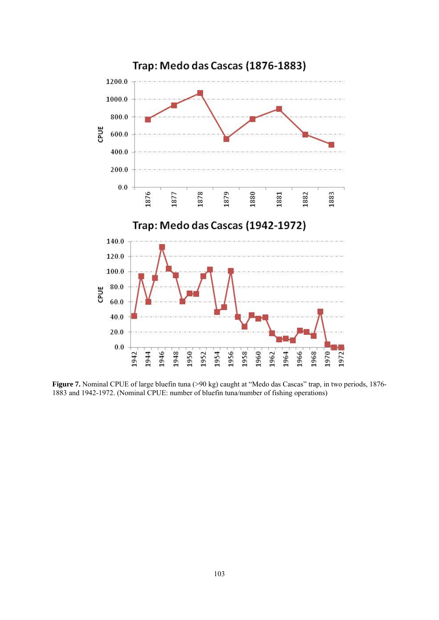

**Figure 7.** Nominal CPUE of large bluefin tuna (>90 kg) caught at "Medo das Cascas" trap, in two periods, 1876- 1883 and 1942-1972. (Nominal CPUE: number of bluefin tuna/number of fishing operations)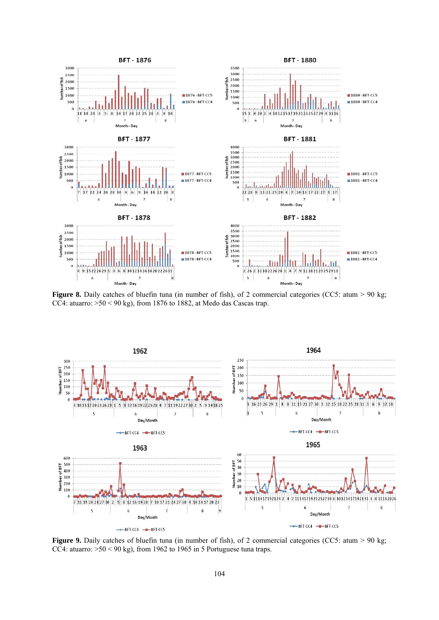

**Figure 8.** Daily catches of bluefin tuna (in number of fish), of 2 commercial categories (CC5: atum > 90 kg; CC4: atuarro:  $>50$  < 90 kg), from 1876 to 1882, at Medo das Cascas trap.



**Figure 9.** Daily catches of bluefin tuna (in number of fish), of 2 commercial categories (CC5: atum > 90 kg; CC4: atuarro:  $>50$  < 90 kg), from 1962 to 1965 in 5 Portuguese tuna traps.